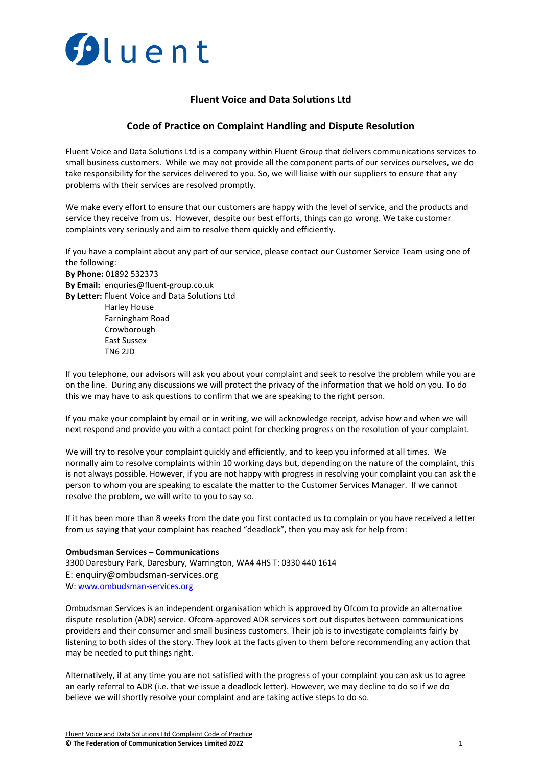

# **Fluent Voice and Data Solutions Ltd**

## **Code of Practice on Complaint Handling and Dispute Resolution**

Fluent Voice and Data Solutions Ltd is a company within Fluent Group that delivers communications services to small business customers. While we may not provide all the component parts of our services ourselves, we do take responsibility for the services delivered to you. So, we will liaise with our suppliers to ensure that any problems with their services are resolved promptly.

We make every effort to ensure that our customers are happy with the level of service, and the products and service they receive from us. However, despite our best efforts, things can go wrong. We take customer complaints very seriously and aim to resolve them quickly and efficiently.

If you have a complaint about any part of our service, please contact our Customer Service Team using one of the following:

**By Phone:** 01892 532373 **By Email:** enquries@fluent-group.co.uk **By Letter:** Fluent Voice and Data Solutions Ltd Harley House Farningham Road Crowborough East Sussex TN6 2JD

If you telephone, our advisors will ask you about your complaint and seek to resolve the problem while you are on the line. During any discussions we will protect the privacy of the information that we hold on you. To do this we may have to ask questions to confirm that we are speaking to the right person.

If you make your complaint by email or in writing, we will acknowledge receipt, advise how and when we will next respond and provide you with a contact point for checking progress on the resolution of your complaint.

We will try to resolve your complaint quickly and efficiently, and to keep you informed at all times. We normally aim to resolve complaints within 10 working days but, depending on the nature of the complaint, this is not always possible. However, if you are not happy with progress in resolving your complaint you can ask the person to whom you are speaking to escalate the matter to the Customer Services Manager. If we cannot resolve the problem, we will write to you to say so.

If it has been more than 8 weeks from the date you first contacted us to complain or you have received a letter from us saying that your complaint has reached "deadlock", then you may ask for help from:

#### **Ombudsman Services – Communications**

3300 Daresbury Park, Daresbury, Warrington, WA4 4HS T: 0330 440 1614 E: enquiry@ombudsman-services.org W: [www.ombudsman-services.org](http://www.ombudsman-services.org/)

Ombudsman Services is an independent organisation which is approved by Ofcom to provide an alternative dispute resolution (ADR) service. Ofcom-approved ADR services sort out disputes between communications providers and their consumer and small business customers. Their job is to investigate complaints fairly by listening to both sides of the story. They look at the facts given to them before recommending any action that may be needed to put things right.

Alternatively, if at any time you are not satisfied with the progress of your complaint you can ask us to agree an early referral to ADR (i.e. that we issue a deadlock letter). However, we may decline to do so if we do believe we will shortly resolve your complaint and are taking active steps to do so.